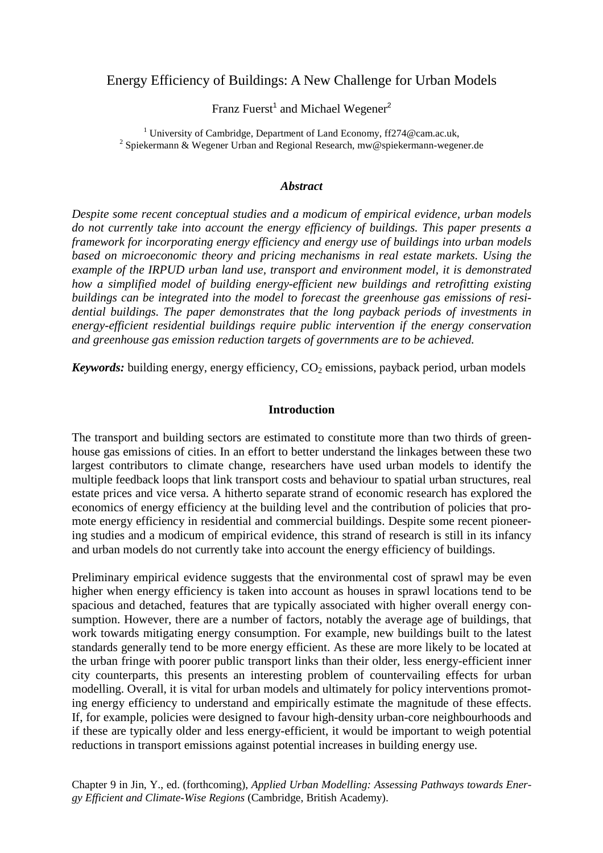# Energy Efficiency of Buildings: A New Challenge for Urban Models

Franz Fuerst<sup>1</sup> and Michael Wegener<sup>2</sup>

<sup>1</sup> University of Cambridge, Department of Land Economy, ff274@cam.ac.uk, <sup>2</sup> Spiekermann & Wegener Urban and Regional Research, mw@spiekermann-wegener.de

### *Abstract*

*Despite some recent conceptual studies and a modicum of empirical evidence, urban models do not currently take into account the energy efficiency of buildings. This paper presents a framework for incorporating energy efficiency and energy use of buildings into urban models based on microeconomic theory and pricing mechanisms in real estate markets. Using the example of the IRPUD urban land use, transport and environment model, it is demonstrated how a simplified model of building energy-efficient new buildings and retrofitting existing buildings can be integrated into the model to forecast the greenhouse gas emissions of residential buildings. The paper demonstrates that the long payback periods of investments in energy-efficient residential buildings require public intervention if the energy conservation and greenhouse gas emission reduction targets of governments are to be achieved.* 

*Keywords:* building energy, energy efficiency,  $CO<sub>2</sub>$  emissions, payback period, urban models

## **Introduction**

The transport and building sectors are estimated to constitute more than two thirds of greenhouse gas emissions of cities. In an effort to better understand the linkages between these two largest contributors to climate change, researchers have used urban models to identify the multiple feedback loops that link transport costs and behaviour to spatial urban structures, real estate prices and vice versa. A hitherto separate strand of economic research has explored the economics of energy efficiency at the building level and the contribution of policies that promote energy efficiency in residential and commercial buildings. Despite some recent pioneering studies and a modicum of empirical evidence, this strand of research is still in its infancy and urban models do not currently take into account the energy efficiency of buildings.

Preliminary empirical evidence suggests that the environmental cost of sprawl may be even higher when energy efficiency is taken into account as houses in sprawl locations tend to be spacious and detached, features that are typically associated with higher overall energy consumption. However, there are a number of factors, notably the average age of buildings, that work towards mitigating energy consumption. For example, new buildings built to the latest standards generally tend to be more energy efficient. As these are more likely to be located at the urban fringe with poorer public transport links than their older, less energy-efficient inner city counterparts, this presents an interesting problem of countervailing effects for urban modelling. Overall, it is vital for urban models and ultimately for policy interventions promoting energy efficiency to understand and empirically estimate the magnitude of these effects. If, for example, policies were designed to favour high-density urban-core neighbourhoods and if these are typically older and less energy-efficient, it would be important to weigh potential reductions in transport emissions against potential increases in building energy use.

Chapter 9 in Jin, Y., ed. (forthcoming), *Applied Urban Modelling: Assessing Pathways towards Energy Efficient and Climate-Wise Regions* (Cambridge, British Academy).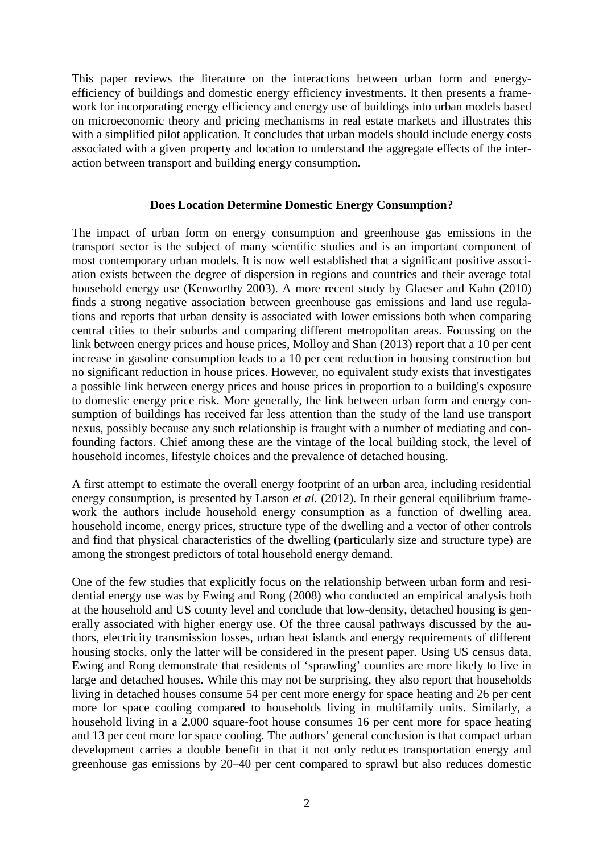This paper reviews the literature on the interactions between urban form and energyefficiency of buildings and domestic energy efficiency investments. It then presents a framework for incorporating energy efficiency and energy use of buildings into urban models based on microeconomic theory and pricing mechanisms in real estate markets and illustrates this with a simplified pilot application. It concludes that urban models should include energy costs associated with a given property and location to understand the aggregate effects of the interaction between transport and building energy consumption.

## **Does Location Determine Domestic Energy Consumption?**

The impact of urban form on energy consumption and greenhouse gas emissions in the transport sector is the subject of many scientific studies and is an important component of most contemporary urban models. It is now well established that a significant positive association exists between the degree of dispersion in regions and countries and their average total household energy use (Kenworthy 2003). A more recent study by Glaeser and Kahn (2010) finds a strong negative association between greenhouse gas emissions and land use regulations and reports that urban density is associated with lower emissions both when comparing central cities to their suburbs and comparing different metropolitan areas. Focussing on the link between energy prices and house prices, Molloy and Shan (2013) report that a 10 per cent increase in gasoline consumption leads to a 10 per cent reduction in housing construction but no significant reduction in house prices. However, no equivalent study exists that investigates a possible link between energy prices and house prices in proportion to a building's exposure to domestic energy price risk. More generally, the link between urban form and energy consumption of buildings has received far less attention than the study of the land use transport nexus, possibly because any such relationship is fraught with a number of mediating and confounding factors. Chief among these are the vintage of the local building stock, the level of household incomes, lifestyle choices and the prevalence of detached housing.

A first attempt to estimate the overall energy footprint of an urban area, including residential energy consumption, is presented by Larson *et al.* (2012). In their general equilibrium framework the authors include household energy consumption as a function of dwelling area, household income, energy prices, structure type of the dwelling and a vector of other controls and find that physical characteristics of the dwelling (particularly size and structure type) are among the strongest predictors of total household energy demand.

One of the few studies that explicitly focus on the relationship between urban form and residential energy use was by Ewing and Rong (2008) who conducted an empirical analysis both at the household and US county level and conclude that low-density, detached housing is generally associated with higher energy use. Of the three causal pathways discussed by the authors, electricity transmission losses, urban heat islands and energy requirements of different housing stocks, only the latter will be considered in the present paper. Using US census data, Ewing and Rong demonstrate that residents of 'sprawling' counties are more likely to live in large and detached houses. While this may not be surprising, they also report that households living in detached houses consume 54 per cent more energy for space heating and 26 per cent more for space cooling compared to households living in multifamily units. Similarly, a household living in a 2,000 square-foot house consumes 16 per cent more for space heating and 13 per cent more for space cooling. The authors' general conclusion is that compact urban development carries a double benefit in that it not only reduces transportation energy and greenhouse gas emissions by 20–40 per cent compared to sprawl but also reduces domestic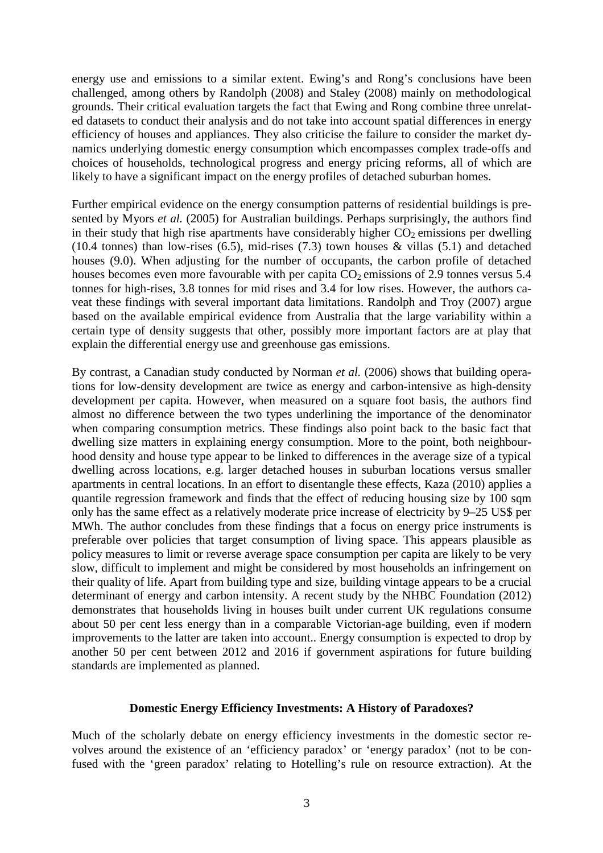energy use and emissions to a similar extent. Ewing's and Rong's conclusions have been challenged, among others by Randolph (2008) and Staley (2008) mainly on methodological grounds. Their critical evaluation targets the fact that Ewing and Rong combine three unrelated datasets to conduct their analysis and do not take into account spatial differences in energy efficiency of houses and appliances. They also criticise the failure to consider the market dynamics underlying domestic energy consumption which encompasses complex trade-offs and choices of households, technological progress and energy pricing reforms, all of which are likely to have a significant impact on the energy profiles of detached suburban homes.

Further empirical evidence on the energy consumption patterns of residential buildings is presented by Myors *et al.* (2005) for Australian buildings. Perhaps surprisingly, the authors find in their study that high rise apartments have considerably higher  $CO<sub>2</sub>$  emissions per dwelling (10.4 tonnes) than low-rises (6.5), mid-rises (7.3) town houses  $\&$  villas (5.1) and detached houses (9.0). When adjusting for the number of occupants, the carbon profile of detached houses becomes even more favourable with per capita  $CO<sub>2</sub>$  emissions of 2.9 tonnes versus 5.4 tonnes for high-rises, 3.8 tonnes for mid rises and 3.4 for low rises. However, the authors caveat these findings with several important data limitations. Randolph and Troy (2007) argue based on the available empirical evidence from Australia that the large variability within a certain type of density suggests that other, possibly more important factors are at play that explain the differential energy use and greenhouse gas emissions.

By contrast, a Canadian study conducted by Norman *et al.* (2006) shows that building operations for low-density development are twice as energy and carbon-intensive as high-density development per capita. However, when measured on a square foot basis, the authors find almost no difference between the two types underlining the importance of the denominator when comparing consumption metrics. These findings also point back to the basic fact that dwelling size matters in explaining energy consumption. More to the point, both neighbourhood density and house type appear to be linked to differences in the average size of a typical dwelling across locations, e.g. larger detached houses in suburban locations versus smaller apartments in central locations. In an effort to disentangle these effects, Kaza (2010) applies a quantile regression framework and finds that the effect of reducing housing size by 100 sqm only has the same effect as a relatively moderate price increase of electricity by 9–25 US\$ per MWh. The author concludes from these findings that a focus on energy price instruments is preferable over policies that target consumption of living space. This appears plausible as policy measures to limit or reverse average space consumption per capita are likely to be very slow, difficult to implement and might be considered by most households an infringement on their quality of life. Apart from building type and size, building vintage appears to be a crucial determinant of energy and carbon intensity. A recent study by the NHBC Foundation (2012) demonstrates that households living in houses built under current UK regulations consume about 50 per cent less energy than in a comparable Victorian-age building, even if modern improvements to the latter are taken into account.. Energy consumption is expected to drop by another 50 per cent between 2012 and 2016 if government aspirations for future building standards are implemented as planned.

## **Domestic Energy Efficiency Investments: A History of Paradoxes?**

Much of the scholarly debate on energy efficiency investments in the domestic sector revolves around the existence of an 'efficiency paradox' or 'energy paradox' (not to be confused with the 'green paradox' relating to Hotelling's rule on resource extraction). At the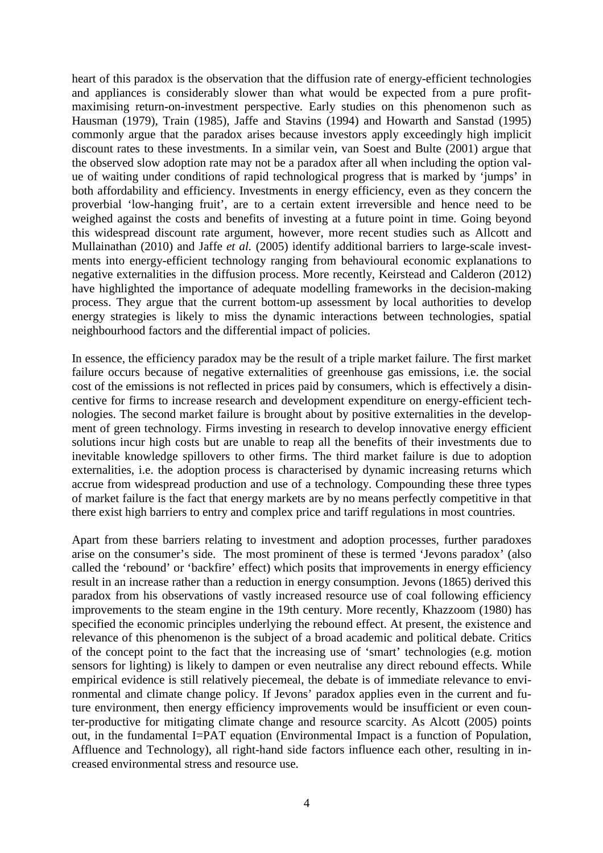heart of this paradox is the observation that the diffusion rate of energy-efficient technologies and appliances is considerably slower than what would be expected from a pure profitmaximising return-on-investment perspective. Early studies on this phenomenon such as Hausman (1979), Train (1985), Jaffe and Stavins (1994) and Howarth and Sanstad (1995) commonly argue that the paradox arises because investors apply exceedingly high implicit discount rates to these investments. In a similar vein, van Soest and Bulte (2001) argue that the observed slow adoption rate may not be a paradox after all when including the option value of waiting under conditions of rapid technological progress that is marked by 'jumps' in both affordability and efficiency. Investments in energy efficiency, even as they concern the proverbial 'low-hanging fruit', are to a certain extent irreversible and hence need to be weighed against the costs and benefits of investing at a future point in time. Going beyond this widespread discount rate argument, however, more recent studies such as Allcott and Mullainathan (2010) and Jaffe *et al.* (2005) identify additional barriers to large-scale investments into energy-efficient technology ranging from behavioural economic explanations to negative externalities in the diffusion process. More recently, Keirstead and Calderon (2012) have highlighted the importance of adequate modelling frameworks in the decision-making process. They argue that the current bottom-up assessment by local authorities to develop energy strategies is likely to miss the dynamic interactions between technologies, spatial neighbourhood factors and the differential impact of policies.

In essence, the efficiency paradox may be the result of a triple market failure. The first market failure occurs because of negative externalities of greenhouse gas emissions, i.e. the social cost of the emissions is not reflected in prices paid by consumers, which is effectively a disincentive for firms to increase research and development expenditure on energy-efficient technologies. The second market failure is brought about by positive externalities in the development of green technology. Firms investing in research to develop innovative energy efficient solutions incur high costs but are unable to reap all the benefits of their investments due to inevitable knowledge spillovers to other firms. The third market failure is due to adoption externalities, i.e. the adoption process is characterised by dynamic increasing returns which accrue from widespread production and use of a technology. Compounding these three types of market failure is the fact that energy markets are by no means perfectly competitive in that there exist high barriers to entry and complex price and tariff regulations in most countries.

Apart from these barriers relating to investment and adoption processes, further paradoxes arise on the consumer's side. The most prominent of these is termed 'Jevons paradox' (also called the 'rebound' or 'backfire' effect) which posits that improvements in energy efficiency result in an increase rather than a reduction in energy consumption. Jevons (1865) derived this paradox from his observations of vastly increased resource use of coal following efficiency improvements to the steam engine in the 19th century. More recently, Khazzoom (1980) has specified the economic principles underlying the rebound effect. At present, the existence and relevance of this phenomenon is the subject of a broad academic and political debate. Critics of the concept point to the fact that the increasing use of 'smart' technologies (e.g. motion sensors for lighting) is likely to dampen or even neutralise any direct rebound effects. While empirical evidence is still relatively piecemeal, the debate is of immediate relevance to environmental and climate change policy. If Jevons' paradox applies even in the current and future environment, then energy efficiency improvements would be insufficient or even counter-productive for mitigating climate change and resource scarcity. As Alcott (2005) points out, in the fundamental I=PAT equation (Environmental Impact is a function of Population, Affluence and Technology), all right-hand side factors influence each other, resulting in increased environmental stress and resource use.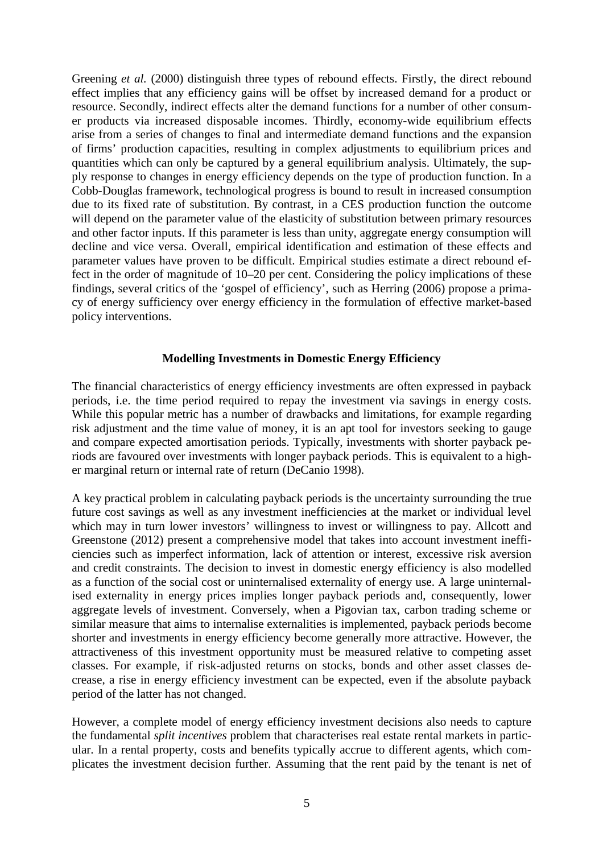Greening *et al.* (2000) distinguish three types of rebound effects. Firstly, the direct rebound effect implies that any efficiency gains will be offset by increased demand for a product or resource. Secondly, indirect effects alter the demand functions for a number of other consumer products via increased disposable incomes. Thirdly, economy-wide equilibrium effects arise from a series of changes to final and intermediate demand functions and the expansion of firms' production capacities, resulting in complex adjustments to equilibrium prices and quantities which can only be captured by a general equilibrium analysis. Ultimately, the supply response to changes in energy efficiency depends on the type of production function. In a Cobb-Douglas framework, technological progress is bound to result in increased consumption due to its fixed rate of substitution. By contrast, in a CES production function the outcome will depend on the parameter value of the elasticity of substitution between primary resources and other factor inputs. If this parameter is less than unity, aggregate energy consumption will decline and vice versa. Overall, empirical identification and estimation of these effects and parameter values have proven to be difficult. Empirical studies estimate a direct rebound effect in the order of magnitude of 10–20 per cent. Considering the policy implications of these findings, several critics of the 'gospel of efficiency', such as Herring (2006) propose a primacy of energy sufficiency over energy efficiency in the formulation of effective market-based policy interventions.

## **Modelling Investments in Domestic Energy Efficiency**

The financial characteristics of energy efficiency investments are often expressed in payback periods, i.e. the time period required to repay the investment via savings in energy costs. While this popular metric has a number of drawbacks and limitations, for example regarding risk adjustment and the time value of money, it is an apt tool for investors seeking to gauge and compare expected amortisation periods. Typically, investments with shorter payback periods are favoured over investments with longer payback periods. This is equivalent to a higher marginal return or internal rate of return (DeCanio 1998).

A key practical problem in calculating payback periods is the uncertainty surrounding the true future cost savings as well as any investment inefficiencies at the market or individual level which may in turn lower investors' willingness to invest or willingness to pay. Allcott and Greenstone (2012) present a comprehensive model that takes into account investment inefficiencies such as imperfect information, lack of attention or interest, excessive risk aversion and credit constraints. The decision to invest in domestic energy efficiency is also modelled as a function of the social cost or uninternalised externality of energy use. A large uninternalised externality in energy prices implies longer payback periods and, consequently, lower aggregate levels of investment. Conversely, when a Pigovian tax, carbon trading scheme or similar measure that aims to internalise externalities is implemented, payback periods become shorter and investments in energy efficiency become generally more attractive. However, the attractiveness of this investment opportunity must be measured relative to competing asset classes. For example, if risk-adjusted returns on stocks, bonds and other asset classes decrease, a rise in energy efficiency investment can be expected, even if the absolute payback period of the latter has not changed.

However, a complete model of energy efficiency investment decisions also needs to capture the fundamental *split incentives* problem that characterises real estate rental markets in particular. In a rental property, costs and benefits typically accrue to different agents, which complicates the investment decision further. Assuming that the rent paid by the tenant is net of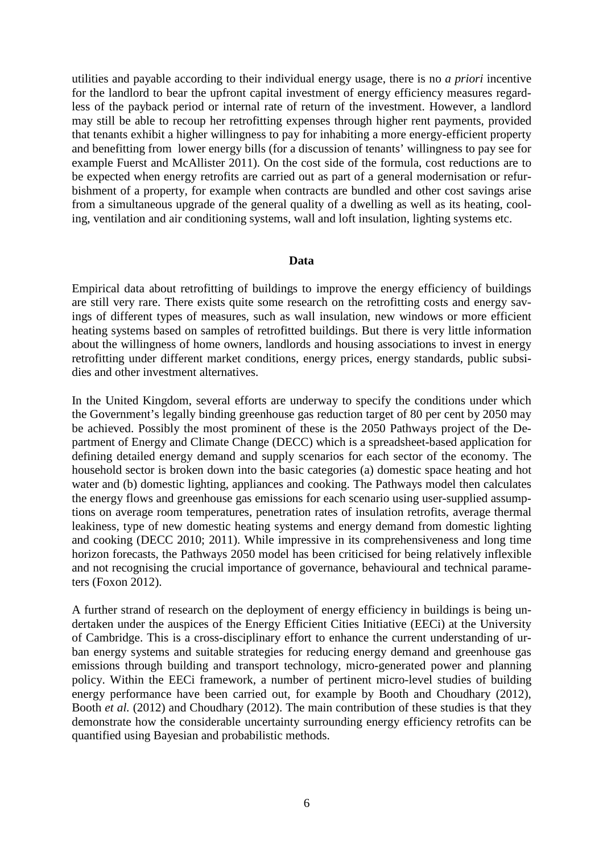utilities and payable according to their individual energy usage, there is no *a priori* incentive for the landlord to bear the upfront capital investment of energy efficiency measures regardless of the payback period or internal rate of return of the investment. However, a landlord may still be able to recoup her retrofitting expenses through higher rent payments, provided that tenants exhibit a higher willingness to pay for inhabiting a more energy-efficient property and benefitting from lower energy bills (for a discussion of tenants' willingness to pay see for example Fuerst and McAllister 2011). On the cost side of the formula, cost reductions are to be expected when energy retrofits are carried out as part of a general modernisation or refurbishment of a property, for example when contracts are bundled and other cost savings arise from a simultaneous upgrade of the general quality of a dwelling as well as its heating, cooling, ventilation and air conditioning systems, wall and loft insulation, lighting systems etc.

### **Data**

Empirical data about retrofitting of buildings to improve the energy efficiency of buildings are still very rare. There exists quite some research on the retrofitting costs and energy savings of different types of measures, such as wall insulation, new windows or more efficient heating systems based on samples of retrofitted buildings. But there is very little information about the willingness of home owners, landlords and housing associations to invest in energy retrofitting under different market conditions, energy prices, energy standards, public subsidies and other investment alternatives.

In the United Kingdom, several efforts are underway to specify the conditions under which the Government's legally binding greenhouse gas reduction target of 80 per cent by 2050 may be achieved. Possibly the most prominent of these is the 2050 Pathways project of the Department of Energy and Climate Change (DECC) which is a spreadsheet-based application for defining detailed energy demand and supply scenarios for each sector of the economy. The household sector is broken down into the basic categories (a) domestic space heating and hot water and (b) domestic lighting, appliances and cooking. The Pathways model then calculates the energy flows and greenhouse gas emissions for each scenario using user-supplied assumptions on average room temperatures, penetration rates of insulation retrofits, average thermal leakiness, type of new domestic heating systems and energy demand from domestic lighting and cooking (DECC 2010; 2011). While impressive in its comprehensiveness and long time horizon forecasts, the Pathways 2050 model has been criticised for being relatively inflexible and not recognising the crucial importance of governance, behavioural and technical parameters (Foxon 2012).

A further strand of research on the deployment of energy efficiency in buildings is being undertaken under the auspices of the Energy Efficient Cities Initiative (EECi) at the University of Cambridge. This is a cross-disciplinary effort to enhance the current understanding of urban energy systems and suitable strategies for reducing energy demand and greenhouse gas emissions through building and transport technology, micro-generated power and planning policy. Within the EECi framework, a number of pertinent micro-level studies of building energy performance have been carried out, for example by Booth and Choudhary (2012), Booth *et al.* (2012) and Choudhary (2012). The main contribution of these studies is that they demonstrate how the considerable uncertainty surrounding energy efficiency retrofits can be quantified using Bayesian and probabilistic methods.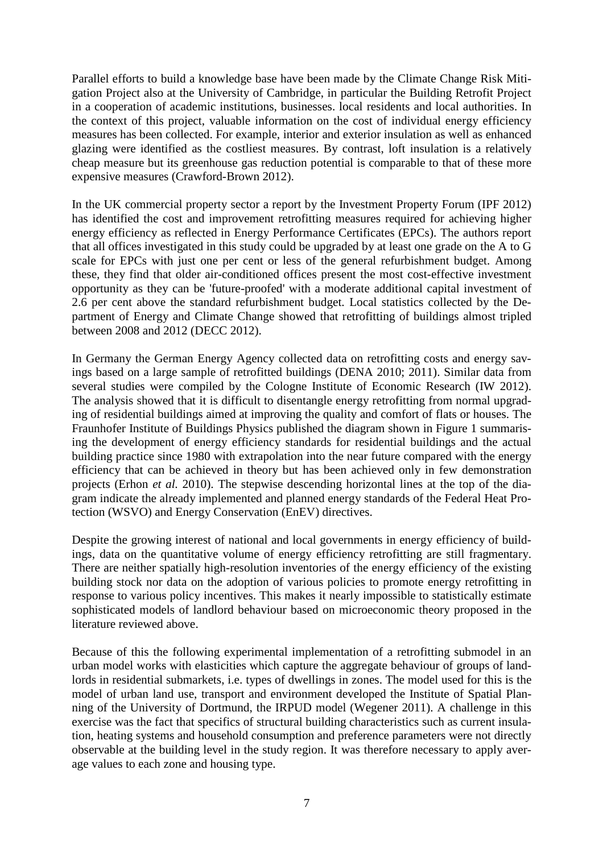Parallel efforts to build a knowledge base have been made by the Climate Change Risk Mitigation Project also at the University of Cambridge, in particular the Building Retrofit Project in a cooperation of academic institutions, businesses. local residents and local authorities. In the context of this project, valuable information on the cost of individual energy efficiency measures has been collected. For example, interior and exterior insulation as well as enhanced glazing were identified as the costliest measures. By contrast, loft insulation is a relatively cheap measure but its greenhouse gas reduction potential is comparable to that of these more expensive measures (Crawford-Brown 2012).

In the UK commercial property sector a report by the Investment Property Forum (IPF 2012) has identified the cost and improvement retrofitting measures required for achieving higher energy efficiency as reflected in Energy Performance Certificates (EPCs). The authors report that all offices investigated in this study could be upgraded by at least one grade on the A to G scale for EPCs with just one per cent or less of the general refurbishment budget. Among these, they find that older air-conditioned offices present the most cost-effective investment opportunity as they can be 'future-proofed' with a moderate additional capital investment of 2.6 per cent above the standard refurbishment budget. Local statistics collected by the Department of Energy and Climate Change showed that retrofitting of buildings almost tripled between 2008 and 2012 (DECC 2012).

In Germany the German Energy Agency collected data on retrofitting costs and energy savings based on a large sample of retrofitted buildings (DENA 2010; 2011). Similar data from several studies were compiled by the Cologne Institute of Economic Research (IW 2012). The analysis showed that it is difficult to disentangle energy retrofitting from normal upgrading of residential buildings aimed at improving the quality and comfort of flats or houses. The Fraunhofer Institute of Buildings Physics published the diagram shown in Figure 1 summarising the development of energy efficiency standards for residential buildings and the actual building practice since 1980 with extrapolation into the near future compared with the energy efficiency that can be achieved in theory but has been achieved only in few demonstration projects (Erhon *et al.* 2010). The stepwise descending horizontal lines at the top of the diagram indicate the already implemented and planned energy standards of the Federal Heat Protection (WSVO) and Energy Conservation (EnEV) directives.

Despite the growing interest of national and local governments in energy efficiency of buildings, data on the quantitative volume of energy efficiency retrofitting are still fragmentary. There are neither spatially high-resolution inventories of the energy efficiency of the existing building stock nor data on the adoption of various policies to promote energy retrofitting in response to various policy incentives. This makes it nearly impossible to statistically estimate sophisticated models of landlord behaviour based on microeconomic theory proposed in the literature reviewed above.

Because of this the following experimental implementation of a retrofitting submodel in an urban model works with elasticities which capture the aggregate behaviour of groups of landlords in residential submarkets, i.e. types of dwellings in zones. The model used for this is the model of urban land use, transport and environment developed the Institute of Spatial Planning of the University of Dortmund, the IRPUD model (Wegener 2011). A challenge in this exercise was the fact that specifics of structural building characteristics such as current insulation, heating systems and household consumption and preference parameters were not directly observable at the building level in the study region. It was therefore necessary to apply average values to each zone and housing type.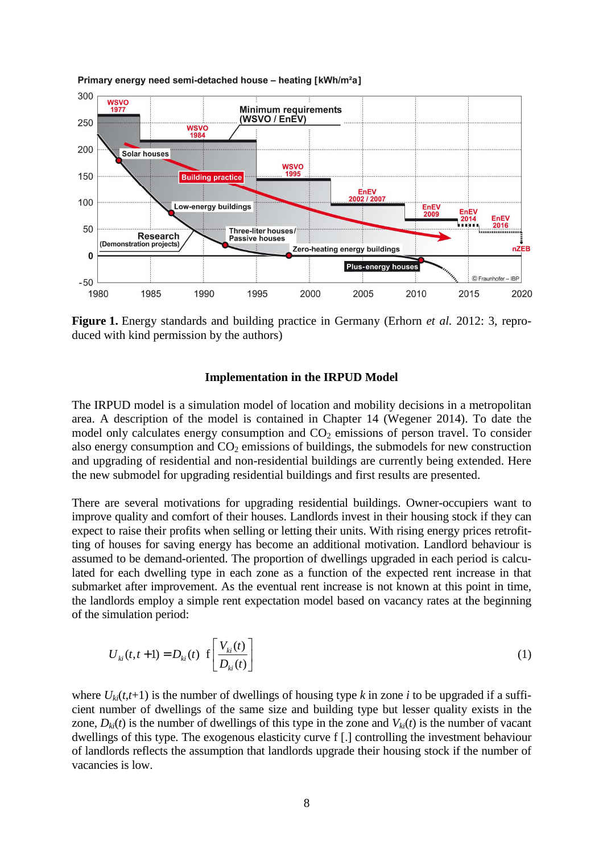

#### Primary energy need semi-detached house - heating [kWh/m<sup>2</sup>a]

**Figure 1.** Energy standards and building practice in Germany (Erhorn *et al.* 2012: 3, reproduced with kind permission by the authors)

### **Implementation in the IRPUD Model**

The IRPUD model is a simulation model of location and mobility decisions in a metropolitan area. A description of the model is contained in Chapter 14 (Wegener 2014). To date the model only calculates energy consumption and  $CO<sub>2</sub>$  emissions of person travel. To consider also energy consumption and  $CO<sub>2</sub>$  emissions of buildings, the submodels for new construction and upgrading of residential and non-residential buildings are currently being extended. Here the new submodel for upgrading residential buildings and first results are presented.

There are several motivations for upgrading residential buildings. Owner-occupiers want to improve quality and comfort of their houses. Landlords invest in their housing stock if they can expect to raise their profits when selling or letting their units. With rising energy prices retrofitting of houses for saving energy has become an additional motivation. Landlord behaviour is assumed to be demand-oriented. The proportion of dwellings upgraded in each period is calculated for each dwelling type in each zone as a function of the expected rent increase in that submarket after improvement. As the eventual rent increase is not known at this point in time, the landlords employ a simple rent expectation model based on vacancy rates at the beginning of the simulation period:

$$
U_{ki}(t, t+1) = D_{ki}(t) \left[ \frac{V_{ki}(t)}{D_{ki}(t)} \right]
$$
 (1)

where  $U_{ki}(t,t+1)$  is the number of dwellings of housing type k in zone *i* to be upgraded if a sufficient number of dwellings of the same size and building type but lesser quality exists in the zone,  $D_{ki}(t)$  is the number of dwellings of this type in the zone and  $V_{ki}(t)$  is the number of vacant dwellings of this type. The exogenous elasticity curve f [.] controlling the investment behaviour of landlords reflects the assumption that landlords upgrade their housing stock if the number of vacancies is low.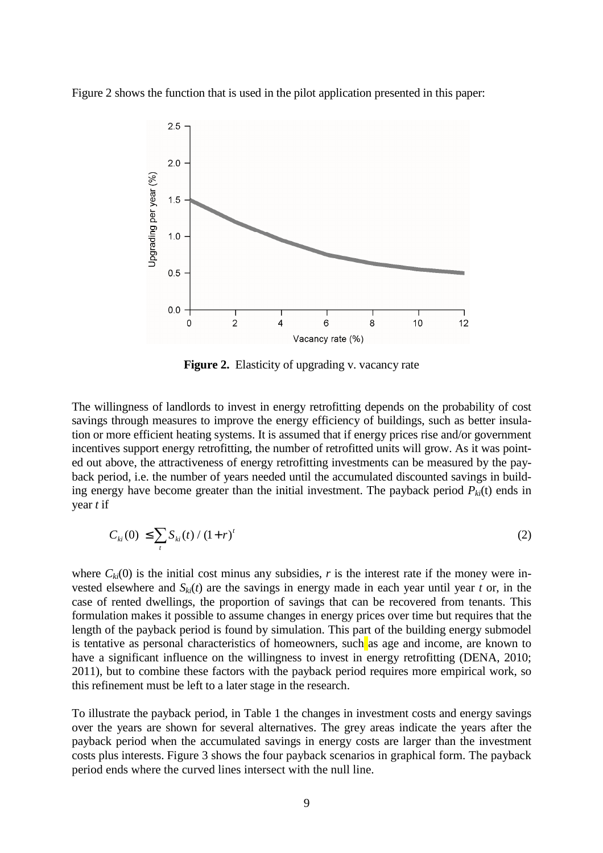Figure 2 shows the function that is used in the pilot application presented in this paper:



**Figure 2.** Elasticity of upgrading v. vacancy rate

The willingness of landlords to invest in energy retrofitting depends on the probability of cost savings through measures to improve the energy efficiency of buildings, such as better insulation or more efficient heating systems. It is assumed that if energy prices rise and/or government incentives support energy retrofitting, the number of retrofitted units will grow. As it was pointed out above, the attractiveness of energy retrofitting investments can be measured by the payback period, i.e. the number of years needed until the accumulated discounted savings in building energy have become greater than the initial investment. The payback period  $P_{ki}(t)$  ends in year *t* if

$$
C_{ki}(0) \le \sum_{t} S_{ki}(t) / (1+r)^{t}
$$
 (2)

where  $C_{ki}(0)$  is the initial cost minus any subsidies, *r* is the interest rate if the money were invested elsewhere and  $S_k(t)$  are the savings in energy made in each year until year *t* or, in the case of rented dwellings, the proportion of savings that can be recovered from tenants. This formulation makes it possible to assume changes in energy prices over time but requires that the length of the payback period is found by simulation. This part of the building energy submodel is tentative as personal characteristics of homeowners, such as age and income, are known to have a significant influence on the willingness to invest in energy retrofitting (DENA, 2010; 2011), but to combine these factors with the payback period requires more empirical work, so this refinement must be left to a later stage in the research.

To illustrate the payback period, in Table 1 the changes in investment costs and energy savings over the years are shown for several alternatives. The grey areas indicate the years after the payback period when the accumulated savings in energy costs are larger than the investment costs plus interests. Figure 3 shows the four payback scenarios in graphical form. The payback period ends where the curved lines intersect with the null line.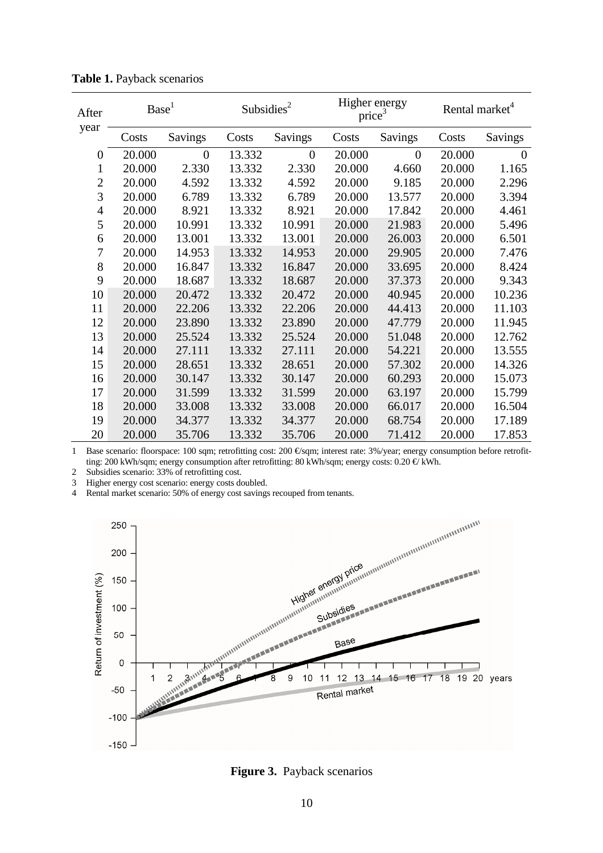| After<br>year  | Base <sup>1</sup> |                | Subsidies <sup>2</sup> |                | Higher energy<br>price <sup>3</sup> |         | Rental market <sup>4</sup> |                |
|----------------|-------------------|----------------|------------------------|----------------|-------------------------------------|---------|----------------------------|----------------|
|                | Costs             | Savings        | Costs                  | Savings        | Costs                               | Savings | Costs                      | Savings        |
| $\theta$       | 20.000            | $\overline{0}$ | 13.332                 | $\overline{0}$ | 20.000                              | 0       | 20.000                     | $\overline{0}$ |
| 1              | 20.000            | 2.330          | 13.332                 | 2.330          | 20.000                              | 4.660   | 20.000                     | 1.165          |
| $\overline{2}$ | 20.000            | 4.592          | 13.332                 | 4.592          | 20.000                              | 9.185   | 20.000                     | 2.296          |
| 3              | 20.000            | 6.789          | 13.332                 | 6.789          | 20.000                              | 13.577  | 20.000                     | 3.394          |
| $\overline{4}$ | 20.000            | 8.921          | 13.332                 | 8.921          | 20.000                              | 17.842  | 20.000                     | 4.461          |
| 5              | 20.000            | 10.991         | 13.332                 | 10.991         | 20.000                              | 21.983  | 20.000                     | 5.496          |
| 6              | 20.000            | 13.001         | 13.332                 | 13.001         | 20.000                              | 26.003  | 20.000                     | 6.501          |
| 7              | 20.000            | 14.953         | 13.332                 | 14.953         | 20.000                              | 29.905  | 20.000                     | 7.476          |
| 8              | 20.000            | 16.847         | 13.332                 | 16.847         | 20.000                              | 33.695  | 20.000                     | 8.424          |
| 9              | 20.000            | 18.687         | 13.332                 | 18.687         | 20.000                              | 37.373  | 20.000                     | 9.343          |
| 10             | 20.000            | 20.472         | 13.332                 | 20.472         | 20.000                              | 40.945  | 20.000                     | 10.236         |
| 11             | 20.000            | 22.206         | 13.332                 | 22.206         | 20.000                              | 44.413  | 20.000                     | 11.103         |
| 12             | 20.000            | 23.890         | 13.332                 | 23.890         | 20.000                              | 47.779  | 20.000                     | 11.945         |
| 13             | 20.000            | 25.524         | 13.332                 | 25.524         | 20.000                              | 51.048  | 20.000                     | 12.762         |
| 14             | 20.000            | 27.111         | 13.332                 | 27.111         | 20.000                              | 54.221  | 20.000                     | 13.555         |
| 15             | 20.000            | 28.651         | 13.332                 | 28.651         | 20.000                              | 57.302  | 20.000                     | 14.326         |
| 16             | 20.000            | 30.147         | 13.332                 | 30.147         | 20.000                              | 60.293  | 20.000                     | 15.073         |
| 17             | 20.000            | 31.599         | 13.332                 | 31.599         | 20.000                              | 63.197  | 20.000                     | 15.799         |
| 18             | 20.000            | 33.008         | 13.332                 | 33.008         | 20.000                              | 66.017  | 20.000                     | 16.504         |
| 19             | 20.000            | 34.377         | 13.332                 | 34.377         | 20.000                              | 68.754  | 20.000                     | 17.189         |
| 20             | 20.000            | 35.706         | 13.332                 | 35.706         | 20.000                              | 71.412  | 20.000                     | 17.853         |

**Table 1.** Payback scenarios

1 Base scenario: floorspace: 100 sqm; retrofitting cost: 200 €/sqm; interest rate: 3%/year; energy consumption before retrofitting: 200 kWh/sqm; energy consumption after retrofitting: 80 kWh/sqm; energy costs: 0.20 €/ kWh.

2 Subsidies scenario: 33% of retrofitting cost.

3 Higher energy cost scenario: energy costs doubled.



**Figure 3.** Payback scenarios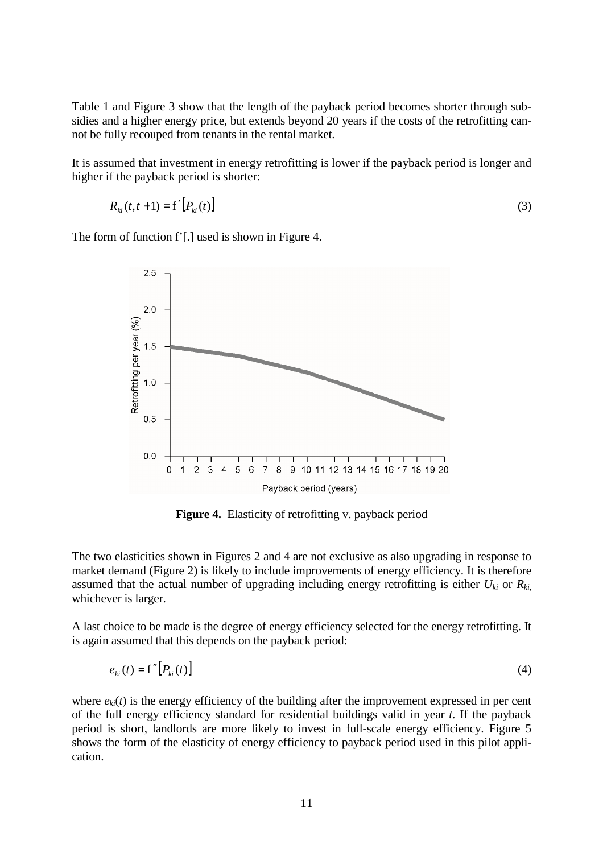Table 1 and Figure 3 show that the length of the payback period becomes shorter through subsidies and a higher energy price, but extends beyond 20 years if the costs of the retrofitting cannot be fully recouped from tenants in the rental market.

It is assumed that investment in energy retrofitting is lower if the payback period is longer and higher if the payback period is shorter:

$$
R_{ki}(t, t+1) = f'[P_{ki}(t)] \tag{3}
$$

The form of function f'[.] used is shown in Figure 4.



Figure 4. Elasticity of retrofitting v. payback period

The two elasticities shown in Figures 2 and 4 are not exclusive as also upgrading in response to market demand (Figure 2) is likely to include improvements of energy efficiency. It is therefore assumed that the actual number of upgrading including energy retrofitting is either  $U_{ki}$  or  $R_{ki}$ , whichever is larger.

A last choice to be made is the degree of energy efficiency selected for the energy retrofitting. It is again assumed that this depends on the payback period:

$$
e_{ki}(t) = \mathbf{f''}\big[P_{ki}(t)\big] \tag{4}
$$

where  $e_{ki}(t)$  is the energy efficiency of the building after the improvement expressed in per cent of the full energy efficiency standard for residential buildings valid in year *t*. If the payback period is short, landlords are more likely to invest in full-scale energy efficiency. Figure 5 shows the form of the elasticity of energy efficiency to payback period used in this pilot application.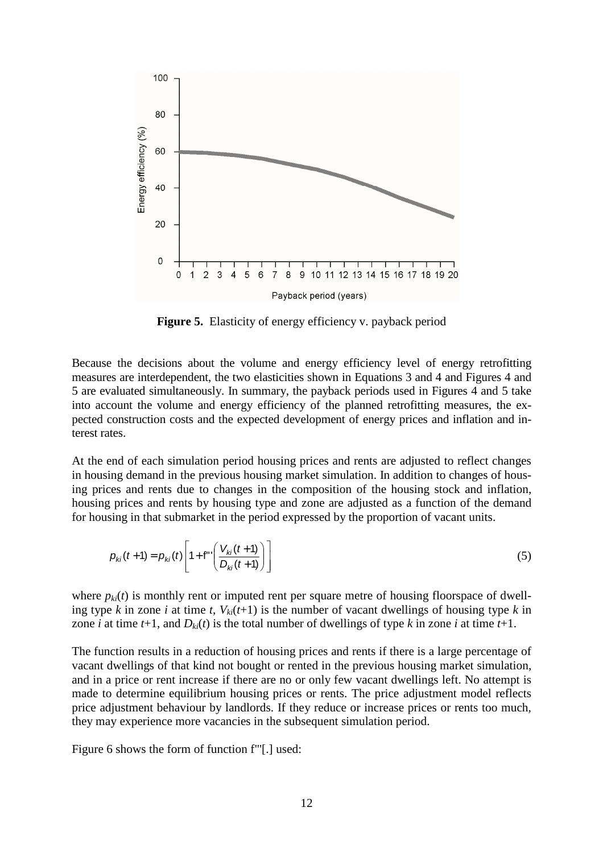

**Figure 5.** Elasticity of energy efficiency v. payback period

Because the decisions about the volume and energy efficiency level of energy retrofitting measures are interdependent, the two elasticities shown in Equations 3 and 4 and Figures 4 and 5 are evaluated simultaneously. In summary, the payback periods used in Figures 4 and 5 take into account the volume and energy efficiency of the planned retrofitting measures, the expected construction costs and the expected development of energy prices and inflation and interest rates.

At the end of each simulation period housing prices and rents are adjusted to reflect changes in housing demand in the previous housing market simulation. In addition to changes of housing prices and rents due to changes in the composition of the housing stock and inflation, housing prices and rents by housing type and zone are adjusted as a function of the demand for housing in that submarket in the period expressed by the proportion of vacant units.

$$
p_{ki}(t+1) = p_{ki}(t) \left[ 1 + f^{**} \left( \frac{V_{ki}(t+1)}{D_{ki}(t+1)} \right) \right]
$$
 (5)

where  $p_{ki}(t)$  is monthly rent or imputed rent per square metre of housing floorspace of dwelling type *k* in zone *i* at time *t*,  $V_{ki}(t+1)$  is the number of vacant dwellings of housing type *k* in zone *i* at time *t*+1, and  $D_{ki}(t)$  is the total number of dwellings of type *k* in zone *i* at time *t*+1.

The function results in a reduction of housing prices and rents if there is a large percentage of vacant dwellings of that kind not bought or rented in the previous housing market simulation, and in a price or rent increase if there are no or only few vacant dwellings left. No attempt is made to determine equilibrium housing prices or rents. The price adjustment model reflects price adjustment behaviour by landlords. If they reduce or increase prices or rents too much, they may experience more vacancies in the subsequent simulation period.

Figure 6 shows the form of function f"'[.] used: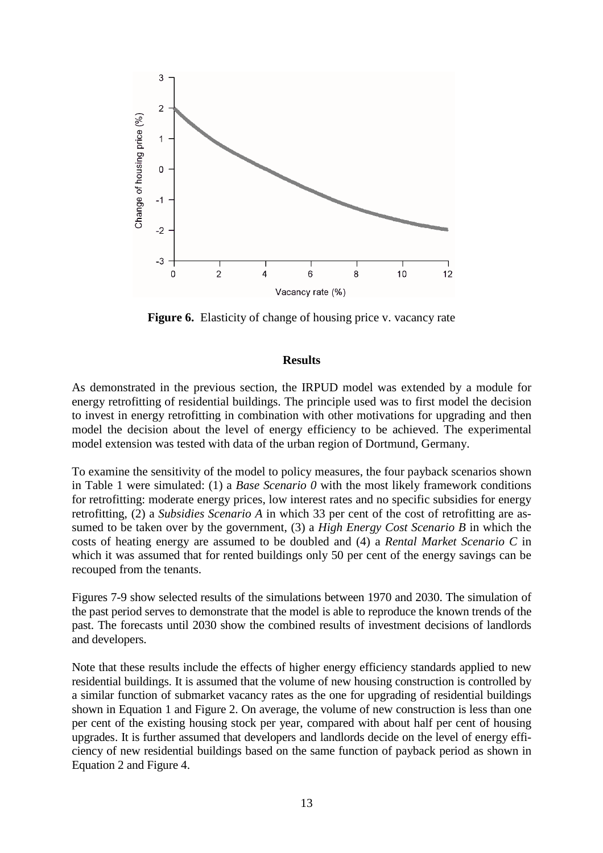

**Figure 6.** Elasticity of change of housing price v. vacancy rate

## **Results**

As demonstrated in the previous section, the IRPUD model was extended by a module for energy retrofitting of residential buildings. The principle used was to first model the decision to invest in energy retrofitting in combination with other motivations for upgrading and then model the decision about the level of energy efficiency to be achieved. The experimental model extension was tested with data of the urban region of Dortmund, Germany.

To examine the sensitivity of the model to policy measures, the four payback scenarios shown in Table 1 were simulated: (1) a *Base Scenario 0* with the most likely framework conditions for retrofitting: moderate energy prices, low interest rates and no specific subsidies for energy retrofitting, (2) a *Subsidies Scenario A* in which 33 per cent of the cost of retrofitting are assumed to be taken over by the government, (3) a *High Energy Cost Scenario B* in which the costs of heating energy are assumed to be doubled and (4) a *Rental Market Scenario C* in which it was assumed that for rented buildings only 50 per cent of the energy savings can be recouped from the tenants.

Figures 7-9 show selected results of the simulations between 1970 and 2030. The simulation of the past period serves to demonstrate that the model is able to reproduce the known trends of the past. The forecasts until 2030 show the combined results of investment decisions of landlords and developers.

Note that these results include the effects of higher energy efficiency standards applied to new residential buildings. It is assumed that the volume of new housing construction is controlled by a similar function of submarket vacancy rates as the one for upgrading of residential buildings shown in Equation 1 and Figure 2. On average, the volume of new construction is less than one per cent of the existing housing stock per year, compared with about half per cent of housing upgrades. It is further assumed that developers and landlords decide on the level of energy efficiency of new residential buildings based on the same function of payback period as shown in Equation 2 and Figure 4.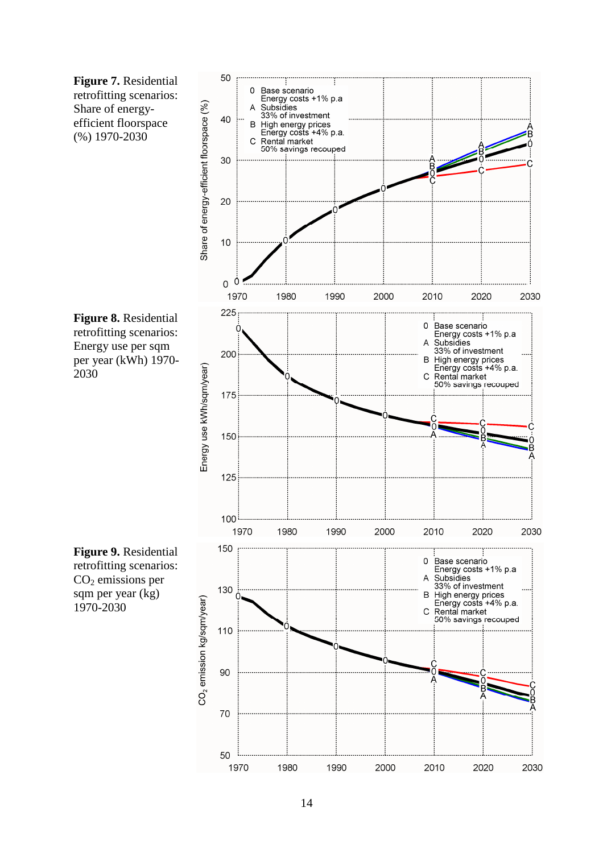**Figure 7.** Residential retrofitting scenarios: Share of energyefficient floorspace (%) 1970-2030



**Figure 8.** Residential retrofitting scenarios: Energy use per sqm per year (kWh) 1970- 2030

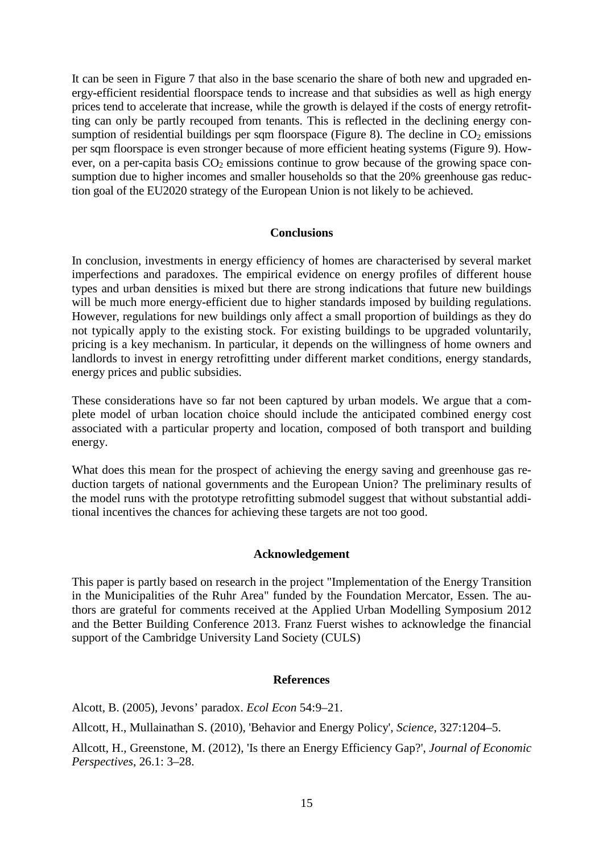It can be seen in Figure 7 that also in the base scenario the share of both new and upgraded energy-efficient residential floorspace tends to increase and that subsidies as well as high energy prices tend to accelerate that increase, while the growth is delayed if the costs of energy retrofitting can only be partly recouped from tenants. This is reflected in the declining energy consumption of residential buildings per sqm floorspace (Figure 8). The decline in  $CO<sub>2</sub>$  emissions per sqm floorspace is even stronger because of more efficient heating systems (Figure 9). However, on a per-capita basis  $CO<sub>2</sub>$  emissions continue to grow because of the growing space consumption due to higher incomes and smaller households so that the 20% greenhouse gas reduction goal of the EU2020 strategy of the European Union is not likely to be achieved.

### **Conclusions**

In conclusion, investments in energy efficiency of homes are characterised by several market imperfections and paradoxes. The empirical evidence on energy profiles of different house types and urban densities is mixed but there are strong indications that future new buildings will be much more energy-efficient due to higher standards imposed by building regulations. However, regulations for new buildings only affect a small proportion of buildings as they do not typically apply to the existing stock. For existing buildings to be upgraded voluntarily, pricing is a key mechanism. In particular, it depends on the willingness of home owners and landlords to invest in energy retrofitting under different market conditions, energy standards, energy prices and public subsidies.

These considerations have so far not been captured by urban models. We argue that a complete model of urban location choice should include the anticipated combined energy cost associated with a particular property and location, composed of both transport and building energy.

What does this mean for the prospect of achieving the energy saving and greenhouse gas reduction targets of national governments and the European Union? The preliminary results of the model runs with the prototype retrofitting submodel suggest that without substantial additional incentives the chances for achieving these targets are not too good.

### **Acknowledgement**

This paper is partly based on research in the project "Implementation of the Energy Transition in the Municipalities of the Ruhr Area" funded by the Foundation Mercator, Essen. The authors are grateful for comments received at the Applied Urban Modelling Symposium 2012 and the Better Building Conference 2013. Franz Fuerst wishes to acknowledge the financial support of the Cambridge University Land Society (CULS)

### **References**

Alcott, B. (2005), Jevons' paradox. *Ecol Econ* 54:9–21.

Allcott, H., Mullainathan S. (2010), 'Behavior and Energy Policy', *Science*, 327:1204–5.

Allcott, H., Greenstone, M. (2012), 'Is there an Energy Efficiency Gap?', *Journal of Economic Perspectives*, 26.1: 3–28.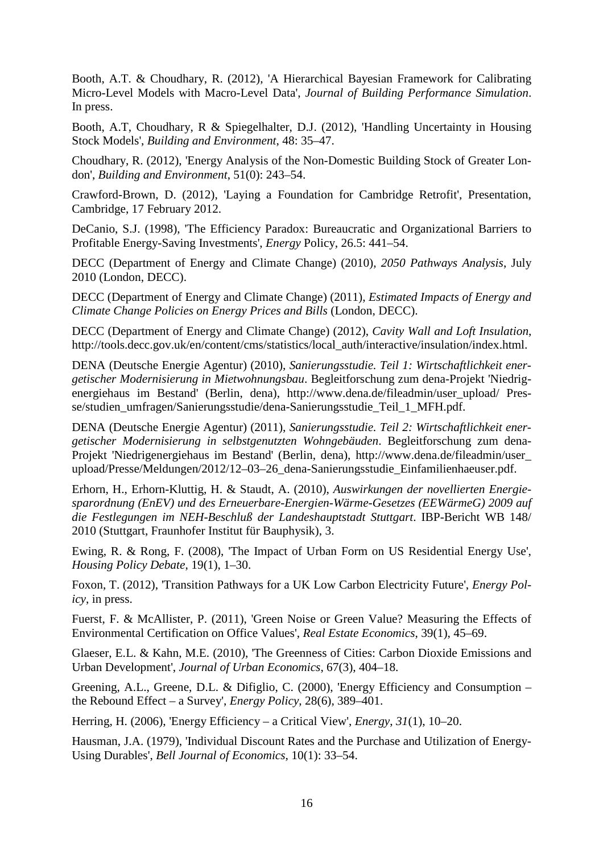Booth, A.T. & Choudhary, R. (2012), 'A Hierarchical Bayesian Framework for Calibrating Micro-Level Models with Macro-Level Data', *Journal of Building Performance Simulation*. In press.

Booth, A.T, Choudhary, R & Spiegelhalter, D.J. (2012), 'Handling Uncertainty in Housing Stock Models', *Building and Environment*, 48: 35–47.

Choudhary, R. (2012), 'Energy Analysis of the Non-Domestic Building Stock of Greater London', *Building and Environment*, 51(0): 243–54.

Crawford-Brown, D. (2012), 'Laying a Foundation for Cambridge Retrofit', Presentation, Cambridge, 17 February 2012.

DeCanio, S.J. (1998), 'The Efficiency Paradox: Bureaucratic and Organizational Barriers to Profitable Energy-Saving Investments', *Energy* Policy, 26.5: 441–54.

DECC (Department of Energy and Climate Change) (2010), *2050 Pathways Analysis*, July 2010 (London, DECC).

DECC (Department of Energy and Climate Change) (2011), *Estimated Impacts of Energy and Climate Change Policies on Energy Prices and Bills* (London, DECC).

DECC (Department of Energy and Climate Change) (2012), *Cavity Wall and Loft Insulation*, http://tools.decc.gov.uk/en/content/cms/statistics/local\_auth/interactive/insulation/index.html.

DENA (Deutsche Energie Agentur) (2010), *Sanierungsstudie. Teil 1: Wirtschaftlichkeit energetischer Modernisierung in Mietwohnungsbau*. Begleitforschung zum dena-Projekt 'Niedrigenergiehaus im Bestand' (Berlin, dena), http://www.dena.de/fileadmin/user\_upload/ Presse/studien\_umfragen/Sanierungsstudie/dena-Sanierungsstudie\_Teil\_1\_MFH.pdf.

DENA (Deutsche Energie Agentur) (2011), *Sanierungsstudie. Teil 2: Wirtschaftlichkeit energetischer Modernisierung in selbstgenutzten Wohngebäuden*. Begleitforschung zum dena-Projekt 'Niedrigenergiehaus im Bestand' (Berlin, dena), http://www.dena.de/fileadmin/user\_ upload/Presse/Meldungen/2012/12–03–26\_dena-Sanierungsstudie\_Einfamilienhaeuser.pdf.

Erhorn, H., Erhorn-Kluttig, H. & Staudt, A. (2010), *Auswirkungen der novellierten Energiesparordnung (EnEV) und des Erneuerbare-Energien-Wärme-Gesetzes (EEWärmeG) 2009 auf die Festlegungen im NEH-Beschluß der Landeshauptstadt Stuttgart*. IBP-Bericht WB 148/ 2010 (Stuttgart, Fraunhofer Institut für Bauphysik), 3.

Ewing, R. & Rong, F. (2008), 'The Impact of Urban Form on US Residential Energy Use', *Housing Policy Debate*, 19(1), 1–30.

Foxon, T. (2012), 'Transition Pathways for a UK Low Carbon Electricity Future', *Energy Policy*, in press.

Fuerst, F. & McAllister, P. (2011), 'Green Noise or Green Value? Measuring the Effects of Environmental Certification on Office Values', *Real Estate Economics*, 39(1), 45–69.

Glaeser, E.L. & Kahn, M.E. (2010), 'The Greenness of Cities: Carbon Dioxide Emissions and Urban Development', *Journal of Urban Economics*, 67(3), 404–18.

Greening, A.L., Greene, D.L. & Difiglio, C. (2000), 'Energy Efficiency and Consumption – the Rebound Effect – a Survey', *Energy Policy*, 28(6), 389–401.

Herring, H. (2006), 'Energy Efficiency – a Critical View', *Energy*, *31*(1), 10–20.

Hausman, J.A. (1979), 'Individual Discount Rates and the Purchase and Utilization of Energy-Using Durables', *Bell Journal of Economics*, 10(1): 33–54.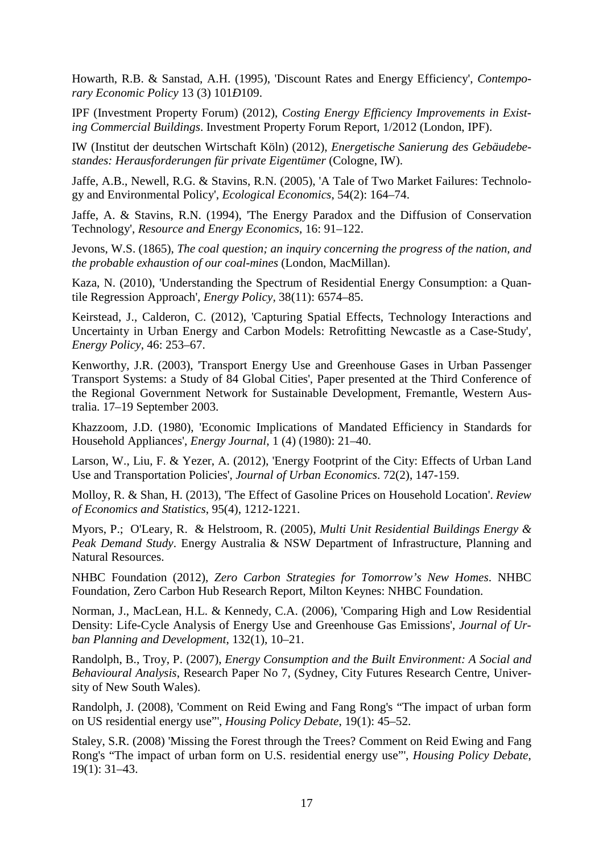Howarth, R.B. & Sanstad, A.H. (1995), 'Discount Rates and Energy Efficiency', *Contemporary Economic Policy* 13 (3) 101*Ð*109.

IPF (Investment Property Forum) (2012), *Costing Energy Efficiency Improvements in Existing Commercial Buildings*. Investment Property Forum Report, 1/2012 (London, IPF).

IW (Institut der deutschen Wirtschaft Köln) (2012), *Energetische Sanierung des Gebäudebestandes: Herausforderungen für private Eigentümer* (Cologne, IW).

Jaffe, A.B., Newell, R.G. & Stavins, R.N. (2005), 'A Tale of Two Market Failures: Technology and Environmental Policy', *Ecological Economics*, 54(2): 164–74.

Jaffe, A. & Stavins, R.N. (1994), 'The Energy Paradox and the Diffusion of Conservation Technology', *Resource and Energy Economics*, 16: 91–122.

Jevons, W.S. (1865), *The coal question; an inquiry concerning the progress of the nation, and the probable exhaustion of our coal-mines* (London, MacMillan).

Kaza, N. (2010), 'Understanding the Spectrum of Residential Energy Consumption: a Quantile Regression Approach', *Energy Policy,* 38(11): 6574–85.

Keirstead, J., Calderon, C. (2012), 'Capturing Spatial Effects, Technology Interactions and Uncertainty in Urban Energy and Carbon Models: Retrofitting Newcastle as a Case-Study', *Energy Policy*, 46: 253–67.

Kenworthy, J.R. (2003), 'Transport Energy Use and Greenhouse Gases in Urban Passenger Transport Systems: a Study of 84 Global Cities', Paper presented at the Third Conference of the Regional Government Network for Sustainable Development, Fremantle, Western Australia. 17–19 September 2003.

Khazzoom, J.D. (1980), 'Economic Implications of Mandated Efficiency in Standards for Household Appliances', *Energy Journal*, 1 (4) (1980): 21–40.

Larson, W., Liu, F. & Yezer, A. (2012), 'Energy Footprint of the City: Effects of Urban Land Use and Transportation Policies', *Journal of Urban Economics*. 72(2), 147-159.

Molloy, R. & Shan, H. (2013), 'The Effect of Gasoline Prices on Household Location'. *Review of Economics and Statistics*, 95(4), 1212-1221.

Myors, P.; O'Leary, R. & Helstroom, R. (2005), *Multi Unit Residential Buildings Energy & Peak Demand Study*. Energy Australia & NSW Department of Infrastructure, Planning and Natural Resources.

NHBC Foundation (2012), *Zero Carbon Strategies for Tomorrow's New Homes*. NHBC Foundation, Zero Carbon Hub Research Report, Milton Keynes: NHBC Foundation.

Norman, J., MacLean, H.L. & Kennedy, C.A. (2006), 'Comparing High and Low Residential Density: Life-Cycle Analysis of Energy Use and Greenhouse Gas Emissions', *Journal of Urban Planning and Development*, 132(1), 10–21.

Randolph, B., Troy, P. (2007), *Energy Consumption and the Built Environment: A Social and Behavioural Analysis*, Research Paper No 7, (Sydney, City Futures Research Centre, University of New South Wales).

Randolph, J. (2008), 'Comment on Reid Ewing and Fang Rong's "The impact of urban form on US residential energy use"', *Housing Policy Debate*, 19(1): 45–52.

Staley, S.R. (2008) 'Missing the Forest through the Trees? Comment on Reid Ewing and Fang Rong's "The impact of urban form on U.S. residential energy use"', *Housing Policy Debate*, 19(1): 31–43.